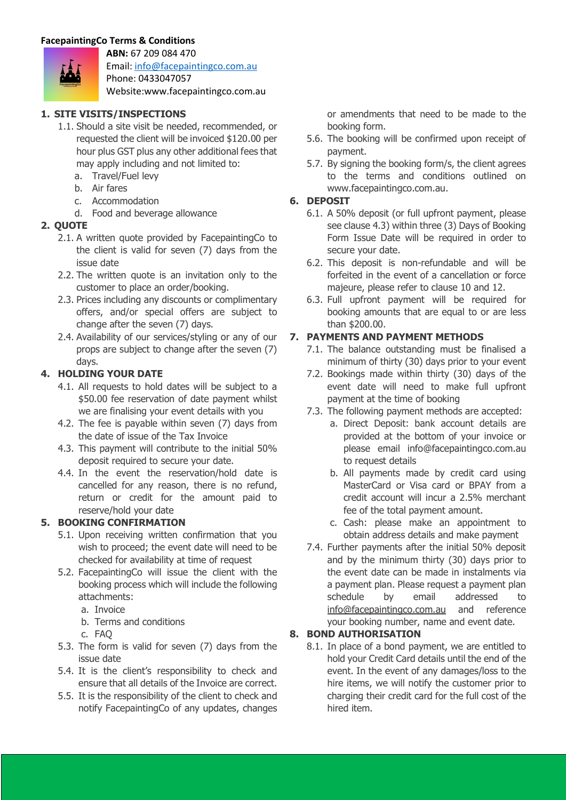**ABN:** 67 209 084 470



Email: info@facepaintingco.com.au Phone: 0433047057

Website:www.facepaintingco.com.au

### **1. SITE VISITS/INSPECTIONS**

- 1.1. Should a site visit be needed, recommended, or requested the client will be invoiced \$120.00 per hour plus GST plus any other additional fees that may apply including and not limited to:
	- a. Travel/Fuel levy
	- b. Air fares
	- c. Accommodation
	- d. Food and beverage allowance

# **2. QUOTE**

- 2.1. A written quote provided by FacepaintingCo to the client is valid for seven (7) days from the issue date
- 2.2. The written quote is an invitation only to the customer to place an order/booking.
- 2.3. Prices including any discounts or complimentary offers, and/or special offers are subject to change after the seven (7) days.
- 2.4. Availability of our services/styling or any of our props are subject to change after the seven (7) days.

# **4. HOLDING YOUR DATE**

- 4.1. All requests to hold dates will be subject to a \$50.00 fee reservation of date payment whilst we are finalising your event details with you
- 4.2. The fee is payable within seven (7) days from the date of issue of the Tax Invoice
- 4.3. This payment will contribute to the initial 50% deposit required to secure your date.
- 4.4. In the event the reservation/hold date is cancelled for any reason, there is no refund, return or credit for the amount paid to reserve/hold your date

### **5. BOOKING CONFIRMATION**

- 5.1. Upon receiving written confirmation that you wish to proceed; the event date will need to be checked for availability at time of request
- 5.2. FacepaintingCo will issue the client with the booking process which will include the following attachments:
	- a. Invoice
	- b. Terms and conditions
	- c. FAQ
- 5.3. The form is valid for seven (7) days from the issue date
- 5.4. It is the client's responsibility to check and ensure that all details of the Invoice are correct.
- 5.5. It is the responsibility of the client to check and notify FacepaintingCo of any updates, changes

or amendments that need to be made to the booking form.

- 5.6. The booking will be confirmed upon receipt of payment.
- 5.7. By signing the booking form/s, the client agrees to the terms and conditions outlined on www.facepaintingco.com.au.

# **6. DEPOSIT**

- 6.1. A 50% deposit (or full upfront payment, please see clause 4.3) within three (3) Days of Booking Form Issue Date will be required in order to secure your date.
- 6.2. This deposit is non-refundable and will be forfeited in the event of a cancellation or force majeure, please refer to clause 10 and 12.
- 6.3. Full upfront payment will be required for booking amounts that are equal to or are less than \$200.00.

# **7. PAYMENTS AND PAYMENT METHODS**

- 7.1. The balance outstanding must be finalised a minimum of thirty (30) days prior to your event
- 7.2. Bookings made within thirty (30) days of the event date will need to make full upfront payment at the time of booking
- 7.3. The following payment methods are accepted:
	- a. Direct Deposit: bank account details are provided at the bottom of your invoice or please email info@facepaintingco.com.au to request details
	- b. All payments made by credit card using MasterCard or Visa card or BPAY from a credit account will incur a 2.5% merchant fee of the total payment amount.
	- c. Cash: please make an appointment to obtain address details and make payment
- 7.4. Further payments after the initial 50% deposit and by the minimum thirty (30) days prior to the event date can be made in instalments via a payment plan. Please request a payment plan schedule by email addressed to info@facepaintingco.com.au and reference your booking number, name and event date.

# **8. BOND AUTHORISATION**

8.1. In place of a bond payment, we are entitled to hold your Credit Card details until the end of the event. In the event of any damages/loss to the hire items, we will notify the customer prior to charging their credit card for the full cost of the hired item.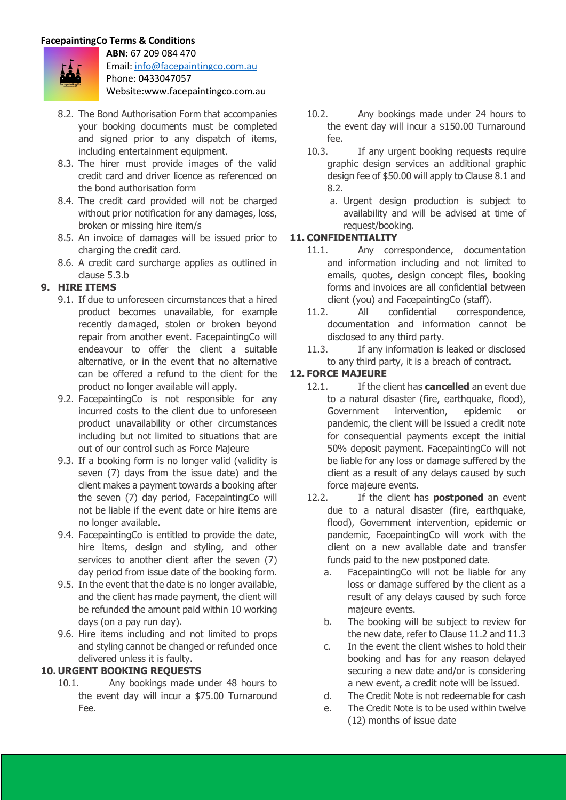

**ABN:** 67 209 084 470 Email: info@facepaintingco.com.au Phone: 0433047057 Website:www.facepaintingco.com.au

- 8.2. The Bond Authorisation Form that accompanies your booking documents must be completed and signed prior to any dispatch of items, including entertainment equipment.
- 8.3. The hirer must provide images of the valid credit card and driver licence as referenced on the bond authorisation form
- 8.4. The credit card provided will not be charged without prior notification for any damages, loss, broken or missing hire item/s
- 8.5. An invoice of damages will be issued prior to charging the credit card.
- 8.6. A credit card surcharge applies as outlined in clause 5.3.b

# **9. HIRE ITEMS**

- 9.1. If due to unforeseen circumstances that a hired product becomes unavailable, for example recently damaged, stolen or broken beyond repair from another event. FacepaintingCo will endeavour to offer the client a suitable alternative, or in the event that no alternative can be offered a refund to the client for the product no longer available will apply.
- 9.2. FacepaintingCo is not responsible for any incurred costs to the client due to unforeseen product unavailability or other circumstances including but not limited to situations that are out of our control such as Force Majeure
- 9.3. If a booking form is no longer valid (validity is seven (7) days from the issue date) and the client makes a payment towards a booking after the seven (7) day period, FacepaintingCo will not be liable if the event date or hire items are no longer available.
- 9.4. FacepaintingCo is entitled to provide the date, hire items, design and styling, and other services to another client after the seven (7) day period from issue date of the booking form.
- 9.5. In the event that the date is no longer available, and the client has made payment, the client will be refunded the amount paid within 10 working days (on a pay run day).
- 9.6. Hire items including and not limited to props and styling cannot be changed or refunded once delivered unless it is faulty.

### **10. URGENT BOOKING REQUESTS**

10.1. Any bookings made under 48 hours to the event day will incur a \$75.00 Turnaround Fee.

- 10.2. Any bookings made under 24 hours to the event day will incur a \$150.00 Turnaround fee.
- 10.3. If any urgent booking requests require graphic design services an additional graphic design fee of \$50.00 will apply to Clause 8.1 and 8.2.
	- a. Urgent design production is subject to availability and will be advised at time of request/booking.

# **11. CONFIDENTIALITY**

- 11.1. Any correspondence, documentation and information including and not limited to emails, quotes, design concept files, booking forms and invoices are all confidential between client (you) and FacepaintingCo (staff).
- 11.2. All confidential correspondence, documentation and information cannot be disclosed to any third party.
- 11.3. If any information is leaked or disclosed to any third party, it is a breach of contract.

# **12. FORCE MAJEURE**

- 12.1. If the client has **cancelled** an event due to a natural disaster (fire, earthquake, flood), Government intervention, epidemic or pandemic, the client will be issued a credit note for consequential payments except the initial 50% deposit payment. FacepaintingCo will not be liable for any loss or damage suffered by the client as a result of any delays caused by such force majeure events.
- 12.2. If the client has **postponed** an event due to a natural disaster (fire, earthquake, flood), Government intervention, epidemic or pandemic, FacepaintingCo will work with the client on a new available date and transfer funds paid to the new postponed date.
	- a. FacepaintingCo will not be liable for any loss or damage suffered by the client as a result of any delays caused by such force majeure events.
	- b. The booking will be subject to review for the new date, refer to Clause 11.2 and 11.3
	- c. In the event the client wishes to hold their booking and has for any reason delayed securing a new date and/or is considering a new event, a credit note will be issued.
	- d. The Credit Note is not redeemable for cash
	- e. The Credit Note is to be used within twelve (12) months of issue date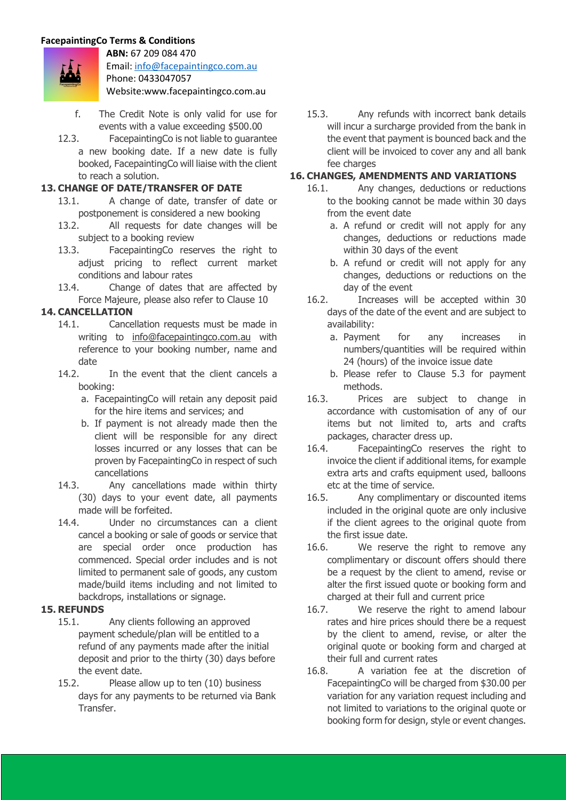

**ABN:** 67 209 084 470 Email: info@facepaintingco.com.au Phone: 0433047057 Website:www.facepaintingco.com.au

- f. The Credit Note is only valid for use for events with a value exceeding \$500.00
- 12.3. FacepaintingCo is not liable to guarantee a new booking date. If a new date is fully booked, FacepaintingCo will liaise with the client to reach a solution.

### **13. CHANGE OF DATE/TRANSFER OF DATE**

- 13.1. A change of date, transfer of date or postponement is considered a new booking
- 13.2. All requests for date changes will be subject to a booking review
- 13.3. FacepaintingCo reserves the right to adjust pricing to reflect current market conditions and labour rates
- 13.4. Change of dates that are affected by Force Majeure, please also refer to Clause 10

#### **14. CANCELLATION**

- 14.1. Cancellation requests must be made in writing to info@facepaintingco.com.au with reference to your booking number, name and date
- 14.2. In the event that the client cancels a booking:
	- a. FacepaintingCo will retain any deposit paid for the hire items and services; and
	- b. If payment is not already made then the client will be responsible for any direct losses incurred or any losses that can be proven by FacepaintingCo in respect of such cancellations
- 14.3. Any cancellations made within thirty (30) days to your event date, all payments made will be forfeited.
- 14.4. Under no circumstances can a client cancel a booking or sale of goods or service that are special order once production has commenced. Special order includes and is not limited to permanent sale of goods, any custom made/build items including and not limited to backdrops, installations or signage.

#### **15. REFUNDS**

- 15.1. Any clients following an approved payment schedule/plan will be entitled to a refund of any payments made after the initial deposit and prior to the thirty (30) days before the event date.
- 15.2. Please allow up to ten (10) business days for any payments to be returned via Bank Transfer.

15.3. Any refunds with incorrect bank details will incur a surcharge provided from the bank in the event that payment is bounced back and the client will be invoiced to cover any and all bank fee charges

### **16. CHANGES, AMENDMENTS AND VARIATIONS**

- 16.1. Any changes, deductions or reductions to the booking cannot be made within 30 days from the event date
	- a. A refund or credit will not apply for any changes, deductions or reductions made within 30 days of the event
	- b. A refund or credit will not apply for any changes, deductions or reductions on the day of the event
- 16.2. Increases will be accepted within 30 days of the date of the event and are subject to availability:
	- a. Payment for any increases in numbers/quantities will be required within 24 (hours) of the invoice issue date
	- b. Please refer to Clause 5.3 for payment methods.
- 16.3. Prices are subject to change in accordance with customisation of any of our items but not limited to, arts and crafts packages, character dress up.
- 16.4. FacepaintingCo reserves the right to invoice the client if additional items, for example extra arts and crafts equipment used, balloons etc at the time of service.
- 16.5. Any complimentary or discounted items included in the original quote are only inclusive if the client agrees to the original quote from the first issue date.
- 16.6. We reserve the right to remove any complimentary or discount offers should there be a request by the client to amend, revise or alter the first issued quote or booking form and charged at their full and current price
- 16.7. We reserve the right to amend labour rates and hire prices should there be a request by the client to amend, revise, or alter the original quote or booking form and charged at their full and current rates
- 16.8. A variation fee at the discretion of FacepaintingCo will be charged from \$30.00 per variation for any variation request including and not limited to variations to the original quote or booking form for design, style or event changes.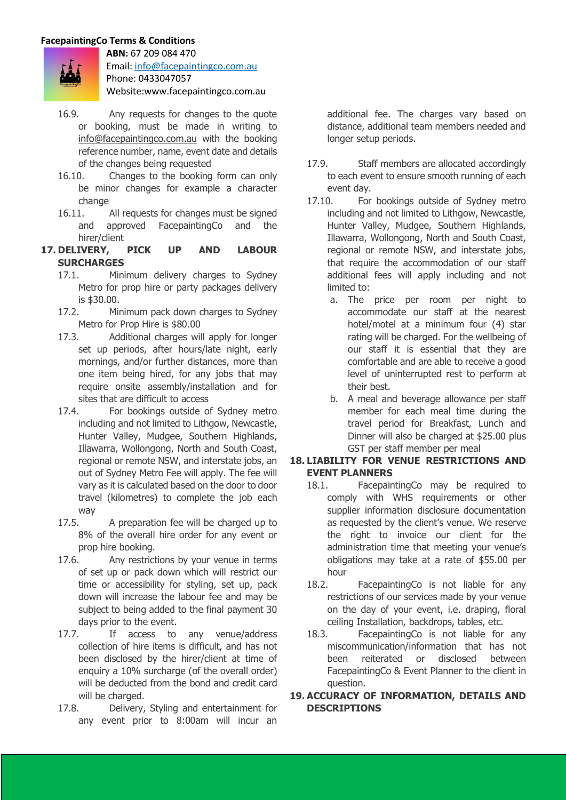

**ABN:** 67 209 084 470 Email: info@facepaintingco.com.au Phone: 0433047057 Website:www.facepaintingco.com.au

- 16.9. Any requests for changes to the quote or booking, must be made in writing to info@facepaintingco.com.au with the booking reference number, name, event date and details of the changes being requested
- 16.10. Changes to the booking form can only be minor changes for example a character change
- 16.11. All requests for changes must be signed and approved FacepaintingCo and the hirer/client
- **17. DELIVERY, PICK UP AND LABOUR SURCHARGES**
	- 17.1. Minimum delivery charges to Sydney Metro for prop hire or party packages delivery is \$30.00.
	- 17.2. Minimum pack down charges to Sydney Metro for Prop Hire is \$80.00
	- 17.3. Additional charges will apply for longer set up periods, after hours/late night, early mornings, and/or further distances, more than one item being hired, for any jobs that may require onsite assembly/installation and for sites that are difficult to access
	- 17.4. For bookings outside of Sydney metro including and not limited to Lithgow, Newcastle, Hunter Valley, Mudgee, Southern Highlands, Illawarra, Wollongong, North and South Coast, regional or remote NSW, and interstate jobs, an out of Sydney Metro Fee will apply. The fee will vary as it is calculated based on the door to door travel (kilometres) to complete the job each way
	- 17.5. A preparation fee will be charged up to 8% of the overall hire order for any event or prop hire booking.
	- 17.6. Any restrictions by your venue in terms of set up or pack down which will restrict our time or accessibility for styling, set up, pack down will increase the labour fee and may be subject to being added to the final payment 30 days prior to the event.
	- 17.7. If access to any venue/address collection of hire items is difficult, and has not been disclosed by the hirer/client at time of enquiry a 10% surcharge (of the overall order) will be deducted from the bond and credit card will be charged.
	- 17.8. Delivery, Styling and entertainment for any event prior to 8:00am will incur an

additional fee. The charges vary based on distance, additional team members needed and longer setup periods.

- 17.9. Staff members are allocated accordingly to each event to ensure smooth running of each event day.
- 17.10. For bookings outside of Sydney metro including and not limited to Lithgow, Newcastle, Hunter Valley, Mudgee, Southern Highlands, Illawarra, Wollongong, North and South Coast, regional or remote NSW, and interstate jobs, that require the accommodation of our staff additional fees will apply including and not limited to:
	- a. The price per room per night to accommodate our staff at the nearest hotel/motel at a minimum four (4) star rating will be charged. For the wellbeing of our staff it is essential that they are comfortable and are able to receive a good level of uninterrupted rest to perform at their best.
	- b. A meal and beverage allowance per staff member for each meal time during the travel period for Breakfast, Lunch and Dinner will also be charged at \$25.00 plus GST per staff member per meal

### **18. LIABILITY FOR VENUE RESTRICTIONS AND EVENT PLANNERS**

- 18.1. FacepaintingCo may be required to comply with WHS requirements or other supplier information disclosure documentation as requested by the client's venue. We reserve the right to invoice our client for the administration time that meeting your venue's obligations may take at a rate of \$55.00 per hour
- 18.2. FacepaintingCo is not liable for any restrictions of our services made by your venue on the day of your event, i.e. draping, floral ceiling Installation, backdrops, tables, etc.
- 18.3. FacepaintingCo is not liable for any miscommunication/information that has not been reiterated or disclosed between FacepaintingCo & Event Planner to the client in question.

#### **19. ACCURACY OF INFORMATION, DETAILS AND DESCRIPTIONS**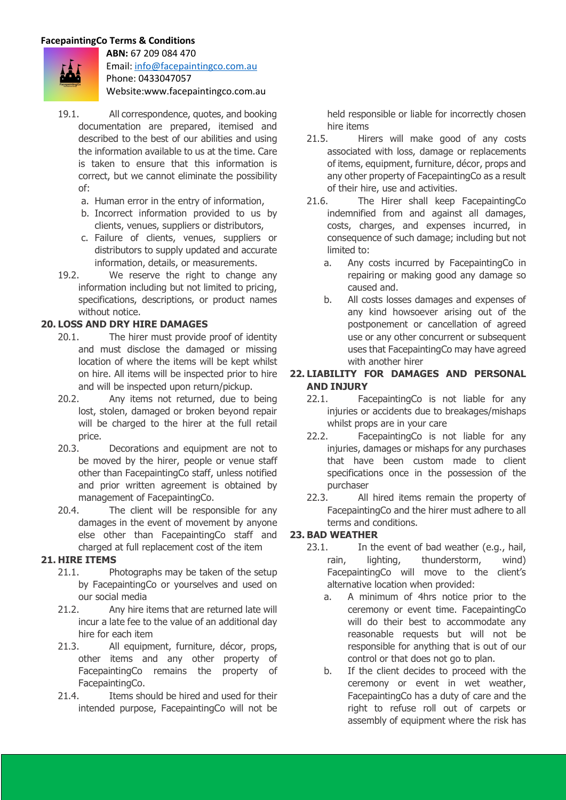

**ABN:** 67 209 084 470 Email: info@facepaintingco.com.au Phone: 0433047057 Website:www.facepaintingco.com.au

- 
- 19.1. All correspondence, quotes, and booking documentation are prepared, itemised and described to the best of our abilities and using the information available to us at the time. Care is taken to ensure that this information is correct, but we cannot eliminate the possibility of:
	- a. Human error in the entry of information,
	- b. Incorrect information provided to us by clients, venues, suppliers or distributors,
	- c. Failure of clients, venues, suppliers or distributors to supply updated and accurate information, details, or measurements.
- 19.2. We reserve the right to change any information including but not limited to pricing, specifications, descriptions, or product names without notice.

### **20. LOSS AND DRY HIRE DAMAGES**

- 20.1. The hirer must provide proof of identity and must disclose the damaged or missing location of where the items will be kept whilst on hire. All items will be inspected prior to hire and will be inspected upon return/pickup.
- 20.2. Any items not returned, due to being lost, stolen, damaged or broken beyond repair will be charged to the hirer at the full retail price.
- 20.3. Decorations and equipment are not to be moved by the hirer, people or venue staff other than FacepaintingCo staff, unless notified and prior written agreement is obtained by management of FacepaintingCo.
- 20.4. The client will be responsible for any damages in the event of movement by anyone else other than FacepaintingCo staff and charged at full replacement cost of the item

### **21. HIRE ITEMS**

- 21.1. Photographs may be taken of the setup by FacepaintingCo or yourselves and used on our social media
- 21.2. Any hire items that are returned late will incur a late fee to the value of an additional day hire for each item
- 21.3. All equipment, furniture, décor, props, other items and any other property of FacepaintingCo remains the property of FacepaintingCo.
- 21.4. Items should be hired and used for their intended purpose, FacepaintingCo will not be

held responsible or liable for incorrectly chosen hire items

- 21.5. Hirers will make good of any costs associated with loss, damage or replacements of items, equipment, furniture, décor, props and any other property of FacepaintingCo as a result of their hire, use and activities.
- 21.6. The Hirer shall keep FacepaintingCo indemnified from and against all damages, costs, charges, and expenses incurred, in consequence of such damage; including but not limited to:
	- a. Any costs incurred by FacepaintingCo in repairing or making good any damage so caused and.
	- b. All costs losses damages and expenses of any kind howsoever arising out of the postponement or cancellation of agreed use or any other concurrent or subsequent uses that FacepaintingCo may have agreed with another hirer

## **22. LIABILITY FOR DAMAGES AND PERSONAL AND INJURY**

- 22.1. FacepaintingCo is not liable for any injuries or accidents due to breakages/mishaps whilst props are in your care
- 22.2. FacepaintingCo is not liable for any injuries, damages or mishaps for any purchases that have been custom made to client specifications once in the possession of the purchaser
- 22.3. All hired items remain the property of FacepaintingCo and the hirer must adhere to all terms and conditions.

# **23. BAD WEATHER**

- 23.1. In the event of bad weather (e.g., hail, rain, lighting, thunderstorm, wind) FacepaintingCo will move to the client's alternative location when provided:
	- a. A minimum of 4hrs notice prior to the ceremony or event time. FacepaintingCo will do their best to accommodate any reasonable requests but will not be responsible for anything that is out of our control or that does not go to plan.
	- b. If the client decides to proceed with the ceremony or event in wet weather, FacepaintingCo has a duty of care and the right to refuse roll out of carpets or assembly of equipment where the risk has